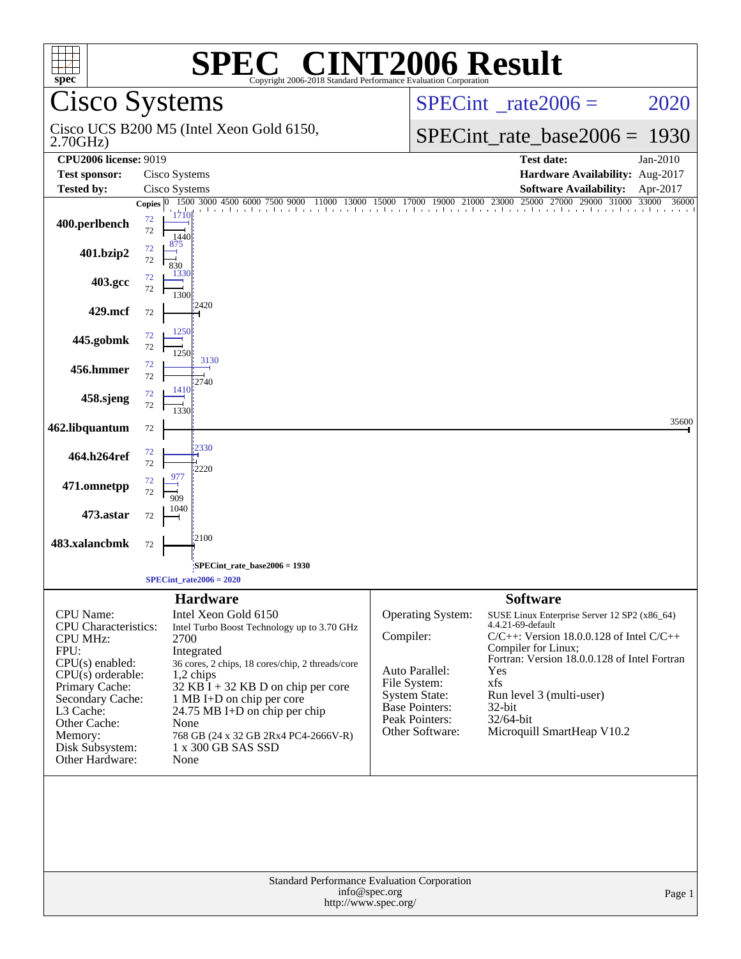| $spec^*$                                                                                                                                                                                                                          | <b>SPEC<sup>®</sup> CINT2006 Result</b><br>Copyright 2006-2018 Standard Performance Evaluation Corporation                                                                                                                                                                                                                                                          |                                                                                                                                                 |                                                                                                                                                                                                                                                                                                                |  |  |
|-----------------------------------------------------------------------------------------------------------------------------------------------------------------------------------------------------------------------------------|---------------------------------------------------------------------------------------------------------------------------------------------------------------------------------------------------------------------------------------------------------------------------------------------------------------------------------------------------------------------|-------------------------------------------------------------------------------------------------------------------------------------------------|----------------------------------------------------------------------------------------------------------------------------------------------------------------------------------------------------------------------------------------------------------------------------------------------------------------|--|--|
|                                                                                                                                                                                                                                   | Cisco Systems                                                                                                                                                                                                                                                                                                                                                       |                                                                                                                                                 | $SPECint^{\circ}$ rate $2006 =$<br>2020                                                                                                                                                                                                                                                                        |  |  |
| 2.70GHz                                                                                                                                                                                                                           | Cisco UCS B200 M5 (Intel Xeon Gold 6150,                                                                                                                                                                                                                                                                                                                            |                                                                                                                                                 | $SPECint_rate\_base2006 =$<br>1930                                                                                                                                                                                                                                                                             |  |  |
| <b>CPU2006 license: 9019</b>                                                                                                                                                                                                      |                                                                                                                                                                                                                                                                                                                                                                     |                                                                                                                                                 | <b>Test date:</b><br>Jan-2010                                                                                                                                                                                                                                                                                  |  |  |
| <b>Test sponsor:</b><br><b>Tested by:</b>                                                                                                                                                                                         | Cisco Systems<br>Cisco Systems                                                                                                                                                                                                                                                                                                                                      |                                                                                                                                                 | Hardware Availability: Aug-2017<br><b>Software Availability:</b><br>Apr-2017                                                                                                                                                                                                                                   |  |  |
|                                                                                                                                                                                                                                   | 1500 3000 4500 6000 7500 9000<br>Copies $ 0 $                                                                                                                                                                                                                                                                                                                       | 11000 13000 15000 17000 19000 21000 23000                                                                                                       | 27000<br>29000 31000<br>25000<br>33000<br>36000                                                                                                                                                                                                                                                                |  |  |
| 400.perlbench                                                                                                                                                                                                                     | 1710<br>$72\,$<br>72<br>144                                                                                                                                                                                                                                                                                                                                         |                                                                                                                                                 |                                                                                                                                                                                                                                                                                                                |  |  |
| 401.bzip2                                                                                                                                                                                                                         | $72\,$<br>72<br>830<br>133                                                                                                                                                                                                                                                                                                                                          |                                                                                                                                                 |                                                                                                                                                                                                                                                                                                                |  |  |
| 403.gcc                                                                                                                                                                                                                           | 72<br>72<br>1300                                                                                                                                                                                                                                                                                                                                                    |                                                                                                                                                 |                                                                                                                                                                                                                                                                                                                |  |  |
| 429.mcf                                                                                                                                                                                                                           | 2420<br>72                                                                                                                                                                                                                                                                                                                                                          |                                                                                                                                                 |                                                                                                                                                                                                                                                                                                                |  |  |
| 445.gobmk                                                                                                                                                                                                                         | 1250<br>72<br>72<br>1250<br>3130                                                                                                                                                                                                                                                                                                                                    |                                                                                                                                                 |                                                                                                                                                                                                                                                                                                                |  |  |
| 456.hmmer                                                                                                                                                                                                                         | 72<br>72<br>2740                                                                                                                                                                                                                                                                                                                                                    |                                                                                                                                                 |                                                                                                                                                                                                                                                                                                                |  |  |
| 458.sjeng                                                                                                                                                                                                                         | 1410<br>72<br>72<br>1330                                                                                                                                                                                                                                                                                                                                            |                                                                                                                                                 |                                                                                                                                                                                                                                                                                                                |  |  |
| 462.libquantum                                                                                                                                                                                                                    | $72\,$                                                                                                                                                                                                                                                                                                                                                              |                                                                                                                                                 | 35600                                                                                                                                                                                                                                                                                                          |  |  |
| 464.h264ref                                                                                                                                                                                                                       | 2330<br>72<br>72<br>2220                                                                                                                                                                                                                                                                                                                                            |                                                                                                                                                 |                                                                                                                                                                                                                                                                                                                |  |  |
| 471.omnetpp                                                                                                                                                                                                                       | 977<br>72<br>72<br>909                                                                                                                                                                                                                                                                                                                                              |                                                                                                                                                 |                                                                                                                                                                                                                                                                                                                |  |  |
| 473.astar                                                                                                                                                                                                                         | 1040<br>72                                                                                                                                                                                                                                                                                                                                                          |                                                                                                                                                 |                                                                                                                                                                                                                                                                                                                |  |  |
| 483.xalancbmk                                                                                                                                                                                                                     | 2100<br>72                                                                                                                                                                                                                                                                                                                                                          |                                                                                                                                                 |                                                                                                                                                                                                                                                                                                                |  |  |
|                                                                                                                                                                                                                                   | SPECint_rate_base2006 = 1930                                                                                                                                                                                                                                                                                                                                        |                                                                                                                                                 |                                                                                                                                                                                                                                                                                                                |  |  |
|                                                                                                                                                                                                                                   | $SPECint_rate2006 = 2020$                                                                                                                                                                                                                                                                                                                                           |                                                                                                                                                 |                                                                                                                                                                                                                                                                                                                |  |  |
| CPU Name:<br><b>CPU</b> Characteristics:<br><b>CPU MHz:</b><br>FPU:<br>CPU(s) enabled:<br>$CPU(s)$ orderable:<br>Primary Cache:<br>Secondary Cache:<br>L3 Cache:<br>Other Cache:<br>Memory:<br>Disk Subsystem:<br>Other Hardware: | <b>Hardware</b><br>Intel Xeon Gold 6150<br>Intel Turbo Boost Technology up to 3.70 GHz<br>2700<br>Integrated<br>36 cores, 2 chips, 18 cores/chip, 2 threads/core<br>$1,2$ chips<br>$32$ KB I + 32 KB D on chip per core<br>1 MB I+D on chip per core<br>24.75 MB I+D on chip per chip<br>None<br>768 GB (24 x 32 GB 2Rx4 PC4-2666V-R)<br>1 x 300 GB SAS SSD<br>None | Operating System:<br>Compiler:<br>Auto Parallel:<br>File System:<br><b>System State:</b><br>Base Pointers:<br>Peak Pointers:<br>Other Software: | <b>Software</b><br>SUSE Linux Enterprise Server 12 SP2 (x86_64)<br>4.4.21-69-default<br>$C/C++$ : Version 18.0.0.128 of Intel $C/C++$<br>Compiler for Linux;<br>Fortran: Version 18.0.0.128 of Intel Fortran<br>Yes<br>xfs<br>Run level 3 (multi-user)<br>$32$ -bit<br>32/64-bit<br>Microquill SmartHeap V10.2 |  |  |
| <b>Standard Performance Evaluation Corporation</b><br>info@spec.org<br>Page 1<br>http://www.spec.org/                                                                                                                             |                                                                                                                                                                                                                                                                                                                                                                     |                                                                                                                                                 |                                                                                                                                                                                                                                                                                                                |  |  |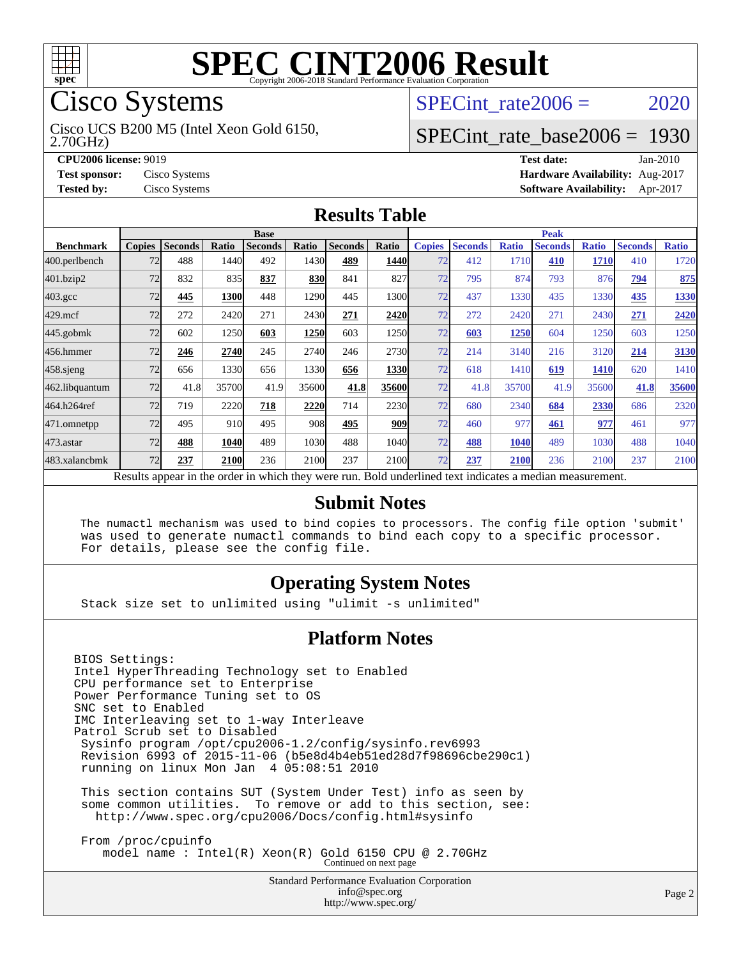

# Cisco Systems

2.70GHz) Cisco UCS B200 M5 (Intel Xeon Gold 6150,

SPECint rate $2006 = 2020$ 

# [SPECint\\_rate\\_base2006 =](http://www.spec.org/auto/cpu2006/Docs/result-fields.html#SPECintratebase2006) 1930

**[CPU2006 license:](http://www.spec.org/auto/cpu2006/Docs/result-fields.html#CPU2006license)** 9019 **[Test date:](http://www.spec.org/auto/cpu2006/Docs/result-fields.html#Testdate)** Jan-2010 **[Test sponsor:](http://www.spec.org/auto/cpu2006/Docs/result-fields.html#Testsponsor)** Cisco Systems **[Hardware Availability:](http://www.spec.org/auto/cpu2006/Docs/result-fields.html#HardwareAvailability)** Aug-2017 **[Tested by:](http://www.spec.org/auto/cpu2006/Docs/result-fields.html#Testedby)** Cisco Systems **[Software Availability:](http://www.spec.org/auto/cpu2006/Docs/result-fields.html#SoftwareAvailability)** Apr-2017

#### **[Results Table](http://www.spec.org/auto/cpu2006/Docs/result-fields.html#ResultsTable)**

|                    | <b>Base</b>                                                                                              |                |       |                |       |                | <b>Peak</b> |               |                |              |                |              |                |              |
|--------------------|----------------------------------------------------------------------------------------------------------|----------------|-------|----------------|-------|----------------|-------------|---------------|----------------|--------------|----------------|--------------|----------------|--------------|
| <b>Benchmark</b>   | <b>Copies</b>                                                                                            | <b>Seconds</b> | Ratio | <b>Seconds</b> | Ratio | <b>Seconds</b> | Ratio       | <b>Copies</b> | <b>Seconds</b> | <b>Ratio</b> | <b>Seconds</b> | <b>Ratio</b> | <b>Seconds</b> | <b>Ratio</b> |
| 400.perlbench      | 72                                                                                                       | 488            | 1440  | 492            | 1430  | 489            | <b>1440</b> | 72            | 412            | 1710         | 410            | 1710         | 410            | 1720         |
| 401.bzip2          | 72                                                                                                       | 832            | 835   | 837            | 830   | 841            | 827         | 72            | 795            | 874          | 793            | 876          | 794            | 875          |
| $403.\mathrm{gcc}$ | 72                                                                                                       | 445            | 1300  | 448            | 1290  | 445            | 1300        | 72            | 437            | 1330         | 435            | 1330         | 435            | 1330         |
| $429$ .mcf         | 72                                                                                                       | 272            | 2420  | 271            | 2430  | 271            | 2420        | 72            | 272            | 2420         | 271            | 2430         | 271            | 2420         |
| $445$ .gobmk       | 72                                                                                                       | 602            | 1250  | 603            | 1250  | 603            | 1250        | 72            | 603            | 1250         | 604            | 1250         | 603            | 1250         |
| 456.hmmer          | 72                                                                                                       | 246            | 2740  | 245            | 2740  | 246            | 2730        | 72            | 214            | 3140         | 216            | 3120         | 214            | 3130         |
| $458$ .sjeng       | 72                                                                                                       | 656            | 1330  | 656            | 1330  | 656            | 1330        | 72            | 618            | 1410         | 619            | 1410         | 620            | 1410         |
| 462.libquantum     | 72                                                                                                       | 41.8           | 35700 | 41.9           | 35600 | 41.8           | 35600       | 72            | 41.8           | 35700        | 41.9           | 35600        | 41.8           | 35600        |
| 464.h264ref        | 72                                                                                                       | 719            | 2220  | 718            | 2220  | 714            | 2230        | 72            | 680            | 2340         | 684            | 2330         | 686            | 2320         |
| 471.omnetpp        | 72                                                                                                       | 495            | 910   | 495            | 908   | 495            | <b>909</b>  | 72            | 460            | 977          | 461            | 977          | 461            | 977          |
| 473.astar          | 72                                                                                                       | 488            | 1040  | 489            | 1030  | 488            | 1040        | 72            | 488            | 1040         | 489            | 1030         | 488            | 1040         |
| 483.xalancbmk      | 72                                                                                                       | 237            | 2100  | 236            | 2100  | 237            | 2100        | 72            | 237            | 2100         | 236            | 2100         | 237            | 2100         |
|                    | Results appear in the order in which they were run. Bold underlined text indicates a median measurement. |                |       |                |       |                |             |               |                |              |                |              |                |              |

#### **[Submit Notes](http://www.spec.org/auto/cpu2006/Docs/result-fields.html#SubmitNotes)**

 The numactl mechanism was used to bind copies to processors. The config file option 'submit' was used to generate numactl commands to bind each copy to a specific processor. For details, please see the config file.

#### **[Operating System Notes](http://www.spec.org/auto/cpu2006/Docs/result-fields.html#OperatingSystemNotes)**

Stack size set to unlimited using "ulimit -s unlimited"

#### **[Platform Notes](http://www.spec.org/auto/cpu2006/Docs/result-fields.html#PlatformNotes)**

BIOS Settings: Intel HyperThreading Technology set to Enabled CPU performance set to Enterprise Power Performance Tuning set to OS SNC set to Enabled IMC Interleaving set to 1-way Interleave Patrol Scrub set to Disabled Sysinfo program /opt/cpu2006-1.2/config/sysinfo.rev6993 Revision 6993 of 2015-11-06 (b5e8d4b4eb51ed28d7f98696cbe290c1) running on linux Mon Jan 4 05:08:51 2010 This section contains SUT (System Under Test) info as seen by some common utilities. To remove or add to this section, see: <http://www.spec.org/cpu2006/Docs/config.html#sysinfo> From /proc/cpuinfo model name : Intel(R) Xeon(R) Gold 6150 CPU @ 2.70GHz Continued on next page

> Standard Performance Evaluation Corporation [info@spec.org](mailto:info@spec.org) <http://www.spec.org/>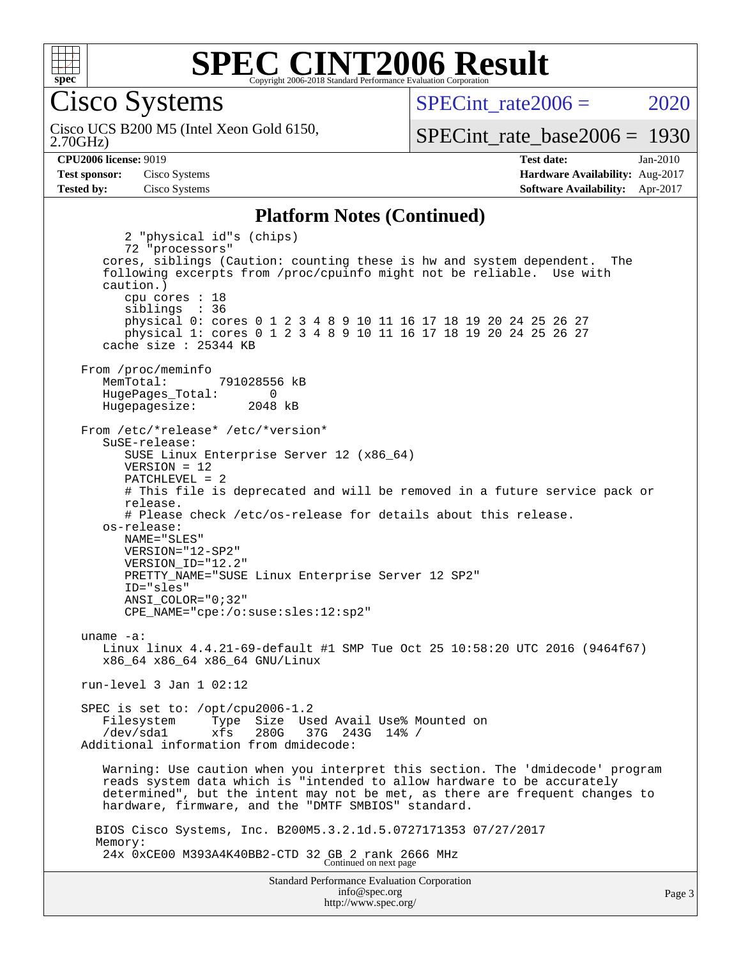

Cisco Systems

2.70GHz) Cisco UCS B200 M5 (Intel Xeon Gold 6150, SPECint rate $2006 = 2020$ 

Page 3

[SPECint\\_rate\\_base2006 =](http://www.spec.org/auto/cpu2006/Docs/result-fields.html#SPECintratebase2006) 1930

**[CPU2006 license:](http://www.spec.org/auto/cpu2006/Docs/result-fields.html#CPU2006license)** 9019 **[Test date:](http://www.spec.org/auto/cpu2006/Docs/result-fields.html#Testdate)** Jan-2010 **[Test sponsor:](http://www.spec.org/auto/cpu2006/Docs/result-fields.html#Testsponsor)** Cisco Systems **[Hardware Availability:](http://www.spec.org/auto/cpu2006/Docs/result-fields.html#HardwareAvailability)** Aug-2017 **[Tested by:](http://www.spec.org/auto/cpu2006/Docs/result-fields.html#Testedby)** Cisco Systems **[Software Availability:](http://www.spec.org/auto/cpu2006/Docs/result-fields.html#SoftwareAvailability)** Apr-2017

#### **[Platform Notes \(Continued\)](http://www.spec.org/auto/cpu2006/Docs/result-fields.html#PlatformNotes)**

Standard Performance Evaluation Corporation 2 "physical id"s (chips) 72 "processors" cores, siblings (Caution: counting these is hw and system dependent. The following excerpts from /proc/cpuinfo might not be reliable. Use with caution.) cpu cores : 18 siblings : 36 physical 0: cores 0 1 2 3 4 8 9 10 11 16 17 18 19 20 24 25 26 27 physical 1: cores 0 1 2 3 4 8 9 10 11 16 17 18 19 20 24 25 26 27 cache size : 25344 KB From /proc/meminfo MemTotal: 791028556 kB HugePages\_Total: 0<br>Hugepagesize: 2048 kB Hugepagesize: From /etc/\*release\* /etc/\*version\* SuSE-release: SUSE Linux Enterprise Server 12 (x86\_64) VERSION = 12 PATCHLEVEL = 2 # This file is deprecated and will be removed in a future service pack or release. # Please check /etc/os-release for details about this release. os-release: NAME="SLES" VERSION="12-SP2" VERSION\_ID="12.2" PRETTY\_NAME="SUSE Linux Enterprise Server 12 SP2" ID="sles" ANSI\_COLOR="0;32" CPE\_NAME="cpe:/o:suse:sles:12:sp2" uname -a: Linux linux 4.4.21-69-default #1 SMP Tue Oct 25 10:58:20 UTC 2016 (9464f67) x86\_64 x86\_64 x86\_64 GNU/Linux run-level 3 Jan 1 02:12 SPEC is set to: /opt/cpu2006-1.2 Filesystem Type Size Used Avail Use% Mounted on /dev/sda1 xfs 280G 37G 243G 14% / Additional information from dmidecode: Warning: Use caution when you interpret this section. The 'dmidecode' program reads system data which is "intended to allow hardware to be accurately determined", but the intent may not be met, as there are frequent changes to hardware, firmware, and the "DMTF SMBIOS" standard. BIOS Cisco Systems, Inc. B200M5.3.2.1d.5.0727171353 07/27/2017 Memory: 24x 0xCE00 M393A4K40BB2-CTD 32 GB 2 rank 2666 MHz Continued on next page

> [info@spec.org](mailto:info@spec.org) <http://www.spec.org/>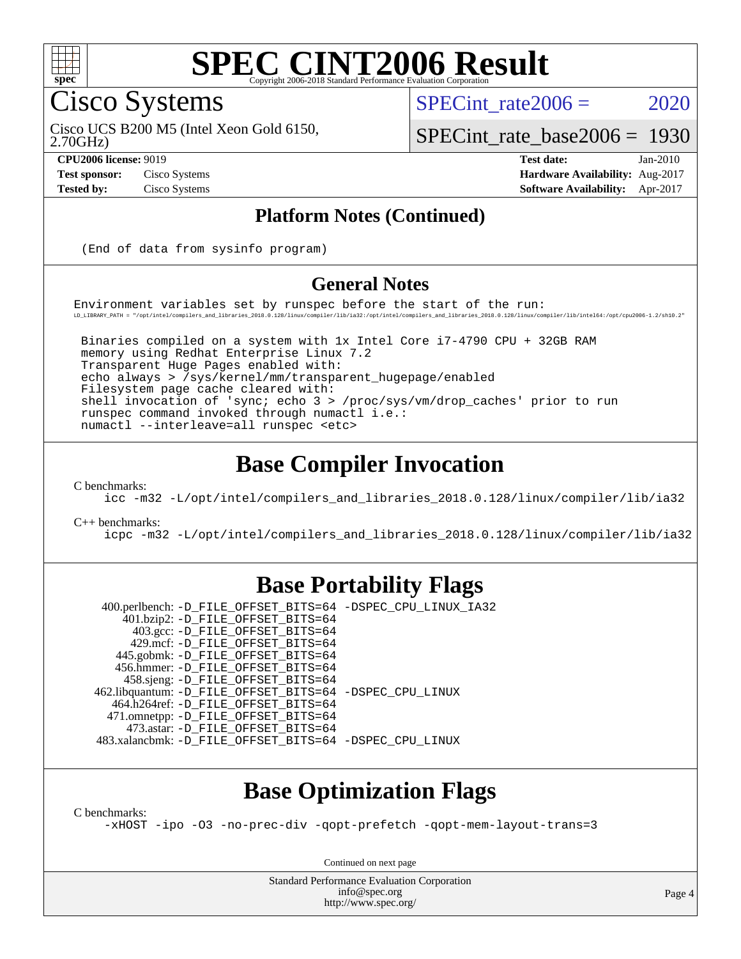

#### **[SPEC CINT2006 Result](http://www.spec.org/auto/cpu2006/Docs/result-fields.html#SPECCINT2006Result)** Copyright 2006-2018 Standard Performance Evaluation

Cisco Systems

SPECint rate $2006 = 2020$ 

2.70GHz) Cisco UCS B200 M5 (Intel Xeon Gold 6150,

[SPECint\\_rate\\_base2006 =](http://www.spec.org/auto/cpu2006/Docs/result-fields.html#SPECintratebase2006) 1930

**[CPU2006 license:](http://www.spec.org/auto/cpu2006/Docs/result-fields.html#CPU2006license)** 9019 **[Test date:](http://www.spec.org/auto/cpu2006/Docs/result-fields.html#Testdate)** Jan-2010 **[Test sponsor:](http://www.spec.org/auto/cpu2006/Docs/result-fields.html#Testsponsor)** Cisco Systems **[Hardware Availability:](http://www.spec.org/auto/cpu2006/Docs/result-fields.html#HardwareAvailability)** Aug-2017 **[Tested by:](http://www.spec.org/auto/cpu2006/Docs/result-fields.html#Testedby)** Cisco Systems **[Software Availability:](http://www.spec.org/auto/cpu2006/Docs/result-fields.html#SoftwareAvailability)** Apr-2017

#### **[Platform Notes \(Continued\)](http://www.spec.org/auto/cpu2006/Docs/result-fields.html#PlatformNotes)**

(End of data from sysinfo program)

#### **[General Notes](http://www.spec.org/auto/cpu2006/Docs/result-fields.html#GeneralNotes)**

Environment variables set by runspec before the start of the run: LD\_LIBRARY\_PATH = "/opt/intel/compilers\_and\_libraries\_2018.0.128/linux/compiler/lib/ia32:/opt/intel/compilers\_and\_libraries\_2018.0.128/linux/compiler/lib/intel64:/opt/cpu2006-1.2/sh10.2"

 Binaries compiled on a system with 1x Intel Core i7-4790 CPU + 32GB RAM memory using Redhat Enterprise Linux 7.2 Transparent Huge Pages enabled with: echo always > /sys/kernel/mm/transparent\_hugepage/enabled Filesystem page cache cleared with: shell invocation of 'sync; echo 3 > /proc/sys/vm/drop\_caches' prior to run runspec command invoked through numactl i.e.: numactl --interleave=all runspec <etc>

# **[Base Compiler Invocation](http://www.spec.org/auto/cpu2006/Docs/result-fields.html#BaseCompilerInvocation)**

[C benchmarks](http://www.spec.org/auto/cpu2006/Docs/result-fields.html#Cbenchmarks):

[icc -m32 -L/opt/intel/compilers\\_and\\_libraries\\_2018.0.128/linux/compiler/lib/ia32](http://www.spec.org/cpu2006/results/res2017q4/cpu2006-20170919-50228.flags.html#user_CCbase_intel_icc_f1cd40e6f144bded1b7a0c3b553250de)

[C++ benchmarks:](http://www.spec.org/auto/cpu2006/Docs/result-fields.html#CXXbenchmarks)

[icpc -m32 -L/opt/intel/compilers\\_and\\_libraries\\_2018.0.128/linux/compiler/lib/ia32](http://www.spec.org/cpu2006/results/res2017q4/cpu2006-20170919-50228.flags.html#user_CXXbase_intel_icpc_1c2a16043037212282641ff86d0d58ab)

### **[Base Portability Flags](http://www.spec.org/auto/cpu2006/Docs/result-fields.html#BasePortabilityFlags)**

 400.perlbench: [-D\\_FILE\\_OFFSET\\_BITS=64](http://www.spec.org/cpu2006/results/res2017q4/cpu2006-20170919-50228.flags.html#user_basePORTABILITY400_perlbench_file_offset_bits_64_438cf9856305ebd76870a2c6dc2689ab) [-DSPEC\\_CPU\\_LINUX\\_IA32](http://www.spec.org/cpu2006/results/res2017q4/cpu2006-20170919-50228.flags.html#b400.perlbench_baseCPORTABILITY_DSPEC_CPU_LINUX_IA32) 401.bzip2: [-D\\_FILE\\_OFFSET\\_BITS=64](http://www.spec.org/cpu2006/results/res2017q4/cpu2006-20170919-50228.flags.html#user_basePORTABILITY401_bzip2_file_offset_bits_64_438cf9856305ebd76870a2c6dc2689ab) 403.gcc: [-D\\_FILE\\_OFFSET\\_BITS=64](http://www.spec.org/cpu2006/results/res2017q4/cpu2006-20170919-50228.flags.html#user_basePORTABILITY403_gcc_file_offset_bits_64_438cf9856305ebd76870a2c6dc2689ab) 429.mcf: [-D\\_FILE\\_OFFSET\\_BITS=64](http://www.spec.org/cpu2006/results/res2017q4/cpu2006-20170919-50228.flags.html#user_basePORTABILITY429_mcf_file_offset_bits_64_438cf9856305ebd76870a2c6dc2689ab) 445.gobmk: [-D\\_FILE\\_OFFSET\\_BITS=64](http://www.spec.org/cpu2006/results/res2017q4/cpu2006-20170919-50228.flags.html#user_basePORTABILITY445_gobmk_file_offset_bits_64_438cf9856305ebd76870a2c6dc2689ab) 456.hmmer: [-D\\_FILE\\_OFFSET\\_BITS=64](http://www.spec.org/cpu2006/results/res2017q4/cpu2006-20170919-50228.flags.html#user_basePORTABILITY456_hmmer_file_offset_bits_64_438cf9856305ebd76870a2c6dc2689ab) 458.sjeng: [-D\\_FILE\\_OFFSET\\_BITS=64](http://www.spec.org/cpu2006/results/res2017q4/cpu2006-20170919-50228.flags.html#user_basePORTABILITY458_sjeng_file_offset_bits_64_438cf9856305ebd76870a2c6dc2689ab) 462.libquantum: [-D\\_FILE\\_OFFSET\\_BITS=64](http://www.spec.org/cpu2006/results/res2017q4/cpu2006-20170919-50228.flags.html#user_basePORTABILITY462_libquantum_file_offset_bits_64_438cf9856305ebd76870a2c6dc2689ab) [-DSPEC\\_CPU\\_LINUX](http://www.spec.org/cpu2006/results/res2017q4/cpu2006-20170919-50228.flags.html#b462.libquantum_baseCPORTABILITY_DSPEC_CPU_LINUX) 464.h264ref: [-D\\_FILE\\_OFFSET\\_BITS=64](http://www.spec.org/cpu2006/results/res2017q4/cpu2006-20170919-50228.flags.html#user_basePORTABILITY464_h264ref_file_offset_bits_64_438cf9856305ebd76870a2c6dc2689ab) 471.omnetpp: [-D\\_FILE\\_OFFSET\\_BITS=64](http://www.spec.org/cpu2006/results/res2017q4/cpu2006-20170919-50228.flags.html#user_basePORTABILITY471_omnetpp_file_offset_bits_64_438cf9856305ebd76870a2c6dc2689ab) 473.astar: [-D\\_FILE\\_OFFSET\\_BITS=64](http://www.spec.org/cpu2006/results/res2017q4/cpu2006-20170919-50228.flags.html#user_basePORTABILITY473_astar_file_offset_bits_64_438cf9856305ebd76870a2c6dc2689ab) 483.xalancbmk: [-D\\_FILE\\_OFFSET\\_BITS=64](http://www.spec.org/cpu2006/results/res2017q4/cpu2006-20170919-50228.flags.html#user_basePORTABILITY483_xalancbmk_file_offset_bits_64_438cf9856305ebd76870a2c6dc2689ab) [-DSPEC\\_CPU\\_LINUX](http://www.spec.org/cpu2006/results/res2017q4/cpu2006-20170919-50228.flags.html#b483.xalancbmk_baseCXXPORTABILITY_DSPEC_CPU_LINUX)

# **[Base Optimization Flags](http://www.spec.org/auto/cpu2006/Docs/result-fields.html#BaseOptimizationFlags)**

[C benchmarks](http://www.spec.org/auto/cpu2006/Docs/result-fields.html#Cbenchmarks):

[-xHOST](http://www.spec.org/cpu2006/results/res2017q4/cpu2006-20170919-50228.flags.html#user_CCbase_f-xHost_e62ac3e528d1159ebbc7507f5617393f) [-ipo](http://www.spec.org/cpu2006/results/res2017q4/cpu2006-20170919-50228.flags.html#user_CCbase_f-ipo) [-O3](http://www.spec.org/cpu2006/results/res2017q4/cpu2006-20170919-50228.flags.html#user_CCbase_f-O3) [-no-prec-div](http://www.spec.org/cpu2006/results/res2017q4/cpu2006-20170919-50228.flags.html#user_CCbase_f-no-prec-div) [-qopt-prefetch](http://www.spec.org/cpu2006/results/res2017q4/cpu2006-20170919-50228.flags.html#user_CCbase_f-qopt-prefetch) [-qopt-mem-layout-trans=3](http://www.spec.org/cpu2006/results/res2017q4/cpu2006-20170919-50228.flags.html#user_CCbase_f-qopt-mem-layout-trans_170f5be61cd2cedc9b54468c59262d5d)

Continued on next page

Standard Performance Evaluation Corporation [info@spec.org](mailto:info@spec.org) <http://www.spec.org/>

Page 4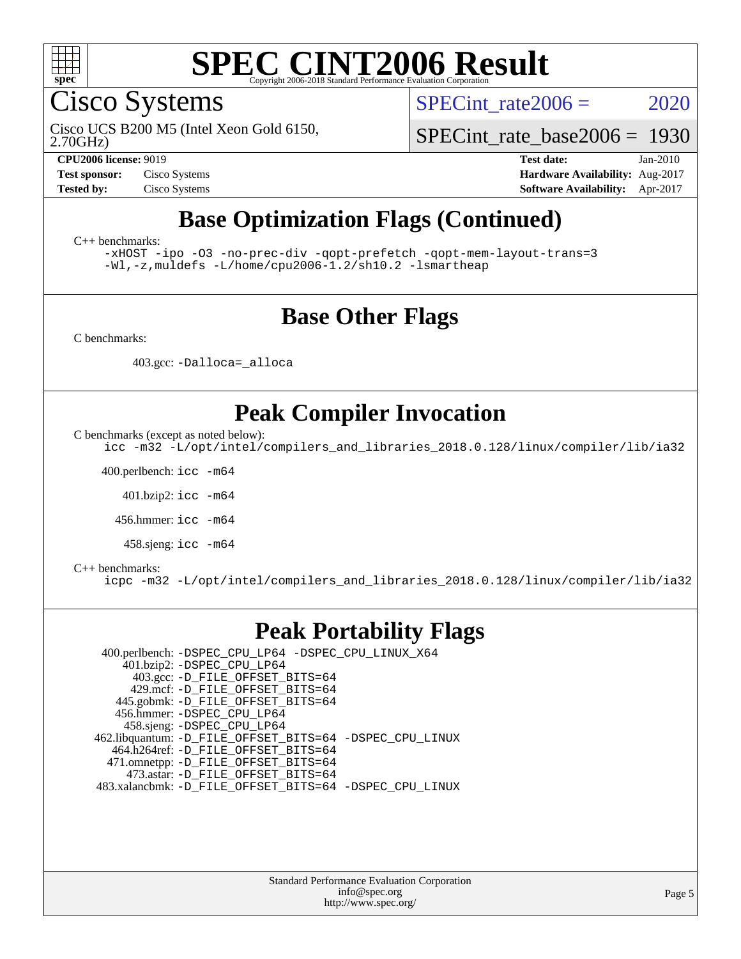

Cisco Systems

SPECint rate $2006 = 2020$ 

2.70GHz) Cisco UCS B200 M5 (Intel Xeon Gold 6150,

[SPECint\\_rate\\_base2006 =](http://www.spec.org/auto/cpu2006/Docs/result-fields.html#SPECintratebase2006) 1930

**[CPU2006 license:](http://www.spec.org/auto/cpu2006/Docs/result-fields.html#CPU2006license)** 9019 **[Test date:](http://www.spec.org/auto/cpu2006/Docs/result-fields.html#Testdate)** Jan-2010 **[Test sponsor:](http://www.spec.org/auto/cpu2006/Docs/result-fields.html#Testsponsor)** Cisco Systems **[Hardware Availability:](http://www.spec.org/auto/cpu2006/Docs/result-fields.html#HardwareAvailability)** Aug-2017 **[Tested by:](http://www.spec.org/auto/cpu2006/Docs/result-fields.html#Testedby)** Cisco Systems **[Software Availability:](http://www.spec.org/auto/cpu2006/Docs/result-fields.html#SoftwareAvailability)** Apr-2017

# **[Base Optimization Flags \(Continued\)](http://www.spec.org/auto/cpu2006/Docs/result-fields.html#BaseOptimizationFlags)**

[C++ benchmarks:](http://www.spec.org/auto/cpu2006/Docs/result-fields.html#CXXbenchmarks)

[-xHOST](http://www.spec.org/cpu2006/results/res2017q4/cpu2006-20170919-50228.flags.html#user_CXXbase_f-xHost_e62ac3e528d1159ebbc7507f5617393f) [-ipo](http://www.spec.org/cpu2006/results/res2017q4/cpu2006-20170919-50228.flags.html#user_CXXbase_f-ipo) [-O3](http://www.spec.org/cpu2006/results/res2017q4/cpu2006-20170919-50228.flags.html#user_CXXbase_f-O3) [-no-prec-div](http://www.spec.org/cpu2006/results/res2017q4/cpu2006-20170919-50228.flags.html#user_CXXbase_f-no-prec-div) [-qopt-prefetch](http://www.spec.org/cpu2006/results/res2017q4/cpu2006-20170919-50228.flags.html#user_CXXbase_f-qopt-prefetch) [-qopt-mem-layout-trans=3](http://www.spec.org/cpu2006/results/res2017q4/cpu2006-20170919-50228.flags.html#user_CXXbase_f-qopt-mem-layout-trans_170f5be61cd2cedc9b54468c59262d5d) [-Wl,-z,muldefs](http://www.spec.org/cpu2006/results/res2017q4/cpu2006-20170919-50228.flags.html#user_CXXbase_link_force_multiple1_74079c344b956b9658436fd1b6dd3a8a) [-L/home/cpu2006-1.2/sh10.2 -lsmartheap](http://www.spec.org/cpu2006/results/res2017q4/cpu2006-20170919-50228.flags.html#user_CXXbase_SmartHeap_5706a66a2f6a219cbb238ac92a73101d)

### **[Base Other Flags](http://www.spec.org/auto/cpu2006/Docs/result-fields.html#BaseOtherFlags)**

[C benchmarks](http://www.spec.org/auto/cpu2006/Docs/result-fields.html#Cbenchmarks):

403.gcc: [-Dalloca=\\_alloca](http://www.spec.org/cpu2006/results/res2017q4/cpu2006-20170919-50228.flags.html#b403.gcc_baseEXTRA_CFLAGS_Dalloca_be3056838c12de2578596ca5467af7f3)

# **[Peak Compiler Invocation](http://www.spec.org/auto/cpu2006/Docs/result-fields.html#PeakCompilerInvocation)**

[C benchmarks \(except as noted below\)](http://www.spec.org/auto/cpu2006/Docs/result-fields.html#Cbenchmarksexceptasnotedbelow):

[icc -m32 -L/opt/intel/compilers\\_and\\_libraries\\_2018.0.128/linux/compiler/lib/ia32](http://www.spec.org/cpu2006/results/res2017q4/cpu2006-20170919-50228.flags.html#user_CCpeak_intel_icc_f1cd40e6f144bded1b7a0c3b553250de)

400.perlbench: [icc -m64](http://www.spec.org/cpu2006/results/res2017q4/cpu2006-20170919-50228.flags.html#user_peakCCLD400_perlbench_intel_icc_64bit_bda6cc9af1fdbb0edc3795bac97ada53)

401.bzip2: [icc -m64](http://www.spec.org/cpu2006/results/res2017q4/cpu2006-20170919-50228.flags.html#user_peakCCLD401_bzip2_intel_icc_64bit_bda6cc9af1fdbb0edc3795bac97ada53)

456.hmmer: [icc -m64](http://www.spec.org/cpu2006/results/res2017q4/cpu2006-20170919-50228.flags.html#user_peakCCLD456_hmmer_intel_icc_64bit_bda6cc9af1fdbb0edc3795bac97ada53)

458.sjeng: [icc -m64](http://www.spec.org/cpu2006/results/res2017q4/cpu2006-20170919-50228.flags.html#user_peakCCLD458_sjeng_intel_icc_64bit_bda6cc9af1fdbb0edc3795bac97ada53)

#### [C++ benchmarks:](http://www.spec.org/auto/cpu2006/Docs/result-fields.html#CXXbenchmarks)

[icpc -m32 -L/opt/intel/compilers\\_and\\_libraries\\_2018.0.128/linux/compiler/lib/ia32](http://www.spec.org/cpu2006/results/res2017q4/cpu2006-20170919-50228.flags.html#user_CXXpeak_intel_icpc_1c2a16043037212282641ff86d0d58ab)

### **[Peak Portability Flags](http://www.spec.org/auto/cpu2006/Docs/result-fields.html#PeakPortabilityFlags)**

 400.perlbench: [-DSPEC\\_CPU\\_LP64](http://www.spec.org/cpu2006/results/res2017q4/cpu2006-20170919-50228.flags.html#b400.perlbench_peakCPORTABILITY_DSPEC_CPU_LP64) [-DSPEC\\_CPU\\_LINUX\\_X64](http://www.spec.org/cpu2006/results/res2017q4/cpu2006-20170919-50228.flags.html#b400.perlbench_peakCPORTABILITY_DSPEC_CPU_LINUX_X64) 401.bzip2: [-DSPEC\\_CPU\\_LP64](http://www.spec.org/cpu2006/results/res2017q4/cpu2006-20170919-50228.flags.html#suite_peakCPORTABILITY401_bzip2_DSPEC_CPU_LP64) 403.gcc: [-D\\_FILE\\_OFFSET\\_BITS=64](http://www.spec.org/cpu2006/results/res2017q4/cpu2006-20170919-50228.flags.html#user_peakPORTABILITY403_gcc_file_offset_bits_64_438cf9856305ebd76870a2c6dc2689ab) 429.mcf: [-D\\_FILE\\_OFFSET\\_BITS=64](http://www.spec.org/cpu2006/results/res2017q4/cpu2006-20170919-50228.flags.html#user_peakPORTABILITY429_mcf_file_offset_bits_64_438cf9856305ebd76870a2c6dc2689ab) 445.gobmk: [-D\\_FILE\\_OFFSET\\_BITS=64](http://www.spec.org/cpu2006/results/res2017q4/cpu2006-20170919-50228.flags.html#user_peakPORTABILITY445_gobmk_file_offset_bits_64_438cf9856305ebd76870a2c6dc2689ab) 456.hmmer: [-DSPEC\\_CPU\\_LP64](http://www.spec.org/cpu2006/results/res2017q4/cpu2006-20170919-50228.flags.html#suite_peakCPORTABILITY456_hmmer_DSPEC_CPU_LP64) 458.sjeng: [-DSPEC\\_CPU\\_LP64](http://www.spec.org/cpu2006/results/res2017q4/cpu2006-20170919-50228.flags.html#suite_peakCPORTABILITY458_sjeng_DSPEC_CPU_LP64) 462.libquantum: [-D\\_FILE\\_OFFSET\\_BITS=64](http://www.spec.org/cpu2006/results/res2017q4/cpu2006-20170919-50228.flags.html#user_peakPORTABILITY462_libquantum_file_offset_bits_64_438cf9856305ebd76870a2c6dc2689ab) [-DSPEC\\_CPU\\_LINUX](http://www.spec.org/cpu2006/results/res2017q4/cpu2006-20170919-50228.flags.html#b462.libquantum_peakCPORTABILITY_DSPEC_CPU_LINUX) 464.h264ref: [-D\\_FILE\\_OFFSET\\_BITS=64](http://www.spec.org/cpu2006/results/res2017q4/cpu2006-20170919-50228.flags.html#user_peakPORTABILITY464_h264ref_file_offset_bits_64_438cf9856305ebd76870a2c6dc2689ab) 471.omnetpp: [-D\\_FILE\\_OFFSET\\_BITS=64](http://www.spec.org/cpu2006/results/res2017q4/cpu2006-20170919-50228.flags.html#user_peakPORTABILITY471_omnetpp_file_offset_bits_64_438cf9856305ebd76870a2c6dc2689ab) 473.astar: [-D\\_FILE\\_OFFSET\\_BITS=64](http://www.spec.org/cpu2006/results/res2017q4/cpu2006-20170919-50228.flags.html#user_peakPORTABILITY473_astar_file_offset_bits_64_438cf9856305ebd76870a2c6dc2689ab) 483.xalancbmk: [-D\\_FILE\\_OFFSET\\_BITS=64](http://www.spec.org/cpu2006/results/res2017q4/cpu2006-20170919-50228.flags.html#user_peakPORTABILITY483_xalancbmk_file_offset_bits_64_438cf9856305ebd76870a2c6dc2689ab) [-DSPEC\\_CPU\\_LINUX](http://www.spec.org/cpu2006/results/res2017q4/cpu2006-20170919-50228.flags.html#b483.xalancbmk_peakCXXPORTABILITY_DSPEC_CPU_LINUX)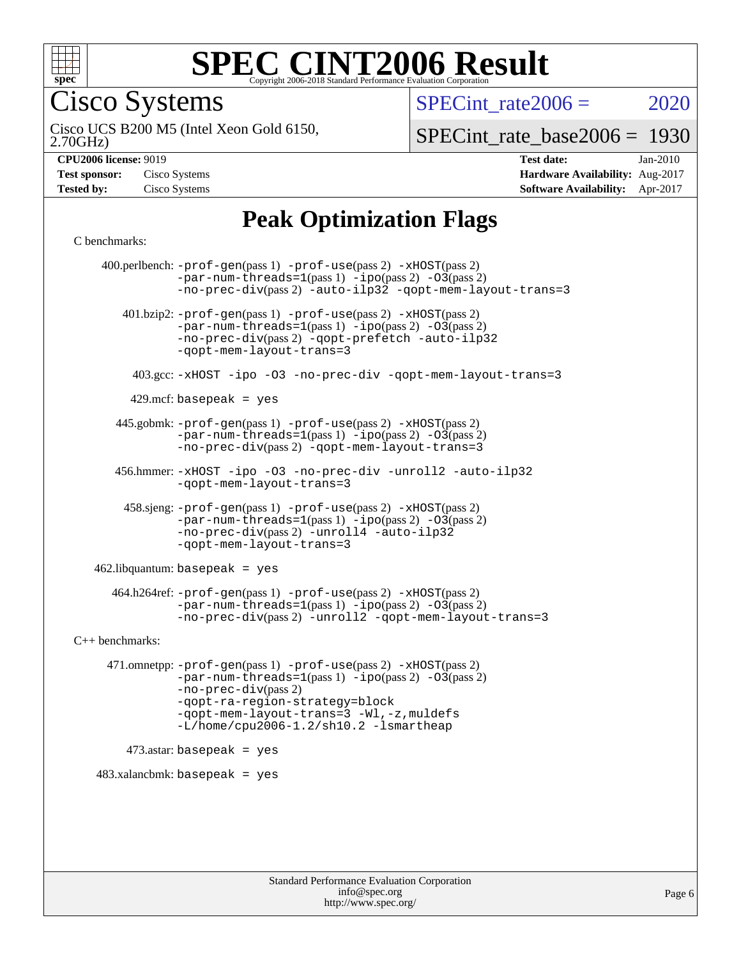

Cisco Systems

SPECint rate $2006 = 2020$ 

2.70GHz) Cisco UCS B200 M5 (Intel Xeon Gold 6150,

[SPECint\\_rate\\_base2006 =](http://www.spec.org/auto/cpu2006/Docs/result-fields.html#SPECintratebase2006) 1930

**[Hardware Availability:](http://www.spec.org/auto/cpu2006/Docs/result-fields.html#HardwareAvailability)** Aug-2017

**[CPU2006 license:](http://www.spec.org/auto/cpu2006/Docs/result-fields.html#CPU2006license)** 9019 **[Test date:](http://www.spec.org/auto/cpu2006/Docs/result-fields.html#Testdate)** Jan-2010

| <b>Test sponsor:</b> | Cisco Systems |
|----------------------|---------------|
| <b>Tested by:</b>    | Cisco Systems |

#### **[Software Availability:](http://www.spec.org/auto/cpu2006/Docs/result-fields.html#SoftwareAvailability)** Apr-2017 **[Peak Optimization Flags](http://www.spec.org/auto/cpu2006/Docs/result-fields.html#PeakOptimizationFlags)**

[C benchmarks](http://www.spec.org/auto/cpu2006/Docs/result-fields.html#Cbenchmarks):

 400.perlbench: [-prof-gen](http://www.spec.org/cpu2006/results/res2017q4/cpu2006-20170919-50228.flags.html#user_peakPASS1_CFLAGSPASS1_LDCFLAGS400_perlbench_prof_gen_e43856698f6ca7b7e442dfd80e94a8fc)(pass 1) [-prof-use](http://www.spec.org/cpu2006/results/res2017q4/cpu2006-20170919-50228.flags.html#user_peakPASS2_CFLAGSPASS2_LDCFLAGS400_perlbench_prof_use_bccf7792157ff70d64e32fe3e1250b55)(pass 2) [-xHOST](http://www.spec.org/cpu2006/results/res2017q4/cpu2006-20170919-50228.flags.html#user_peakPASS2_CFLAGSPASS2_LDCFLAGS400_perlbench_f-xHost_e62ac3e528d1159ebbc7507f5617393f)(pass 2)  $-par-num-threads=1(pass 1) -ipo(pass 2) -O3(pass 2)$  $-par-num-threads=1(pass 1) -ipo(pass 2) -O3(pass 2)$  $-par-num-threads=1(pass 1) -ipo(pass 2) -O3(pass 2)$  $-par-num-threads=1(pass 1) -ipo(pass 2) -O3(pass 2)$  $-par-num-threads=1(pass 1) -ipo(pass 2) -O3(pass 2)$  $-par-num-threads=1(pass 1) -ipo(pass 2) -O3(pass 2)$ [-no-prec-div](http://www.spec.org/cpu2006/results/res2017q4/cpu2006-20170919-50228.flags.html#user_peakPASS2_CFLAGSPASS2_LDCFLAGS400_perlbench_f-no-prec-div)(pass 2) [-auto-ilp32](http://www.spec.org/cpu2006/results/res2017q4/cpu2006-20170919-50228.flags.html#user_peakCOPTIMIZE400_perlbench_f-auto-ilp32) [-qopt-mem-layout-trans=3](http://www.spec.org/cpu2006/results/res2017q4/cpu2006-20170919-50228.flags.html#user_peakCOPTIMIZE400_perlbench_f-qopt-mem-layout-trans_170f5be61cd2cedc9b54468c59262d5d) 401.bzip2: [-prof-gen](http://www.spec.org/cpu2006/results/res2017q4/cpu2006-20170919-50228.flags.html#user_peakPASS1_CFLAGSPASS1_LDCFLAGS401_bzip2_prof_gen_e43856698f6ca7b7e442dfd80e94a8fc)(pass 1) [-prof-use](http://www.spec.org/cpu2006/results/res2017q4/cpu2006-20170919-50228.flags.html#user_peakPASS2_CFLAGSPASS2_LDCFLAGS401_bzip2_prof_use_bccf7792157ff70d64e32fe3e1250b55)(pass 2) [-xHOST](http://www.spec.org/cpu2006/results/res2017q4/cpu2006-20170919-50228.flags.html#user_peakPASS2_CFLAGSPASS2_LDCFLAGS401_bzip2_f-xHost_e62ac3e528d1159ebbc7507f5617393f)(pass 2)  $-par-num-threads=1(pass 1) -ipo(pass 2) -O3(pass 2)$  $-par-num-threads=1(pass 1) -ipo(pass 2) -O3(pass 2)$  $-par-num-threads=1(pass 1) -ipo(pass 2) -O3(pass 2)$  $-par-num-threads=1(pass 1) -ipo(pass 2) -O3(pass 2)$  $-par-num-threads=1(pass 1) -ipo(pass 2) -O3(pass 2)$  $-par-num-threads=1(pass 1) -ipo(pass 2) -O3(pass 2)$ [-no-prec-div](http://www.spec.org/cpu2006/results/res2017q4/cpu2006-20170919-50228.flags.html#user_peakPASS2_CFLAGSPASS2_LDCFLAGS401_bzip2_f-no-prec-div)(pass 2) [-qopt-prefetch](http://www.spec.org/cpu2006/results/res2017q4/cpu2006-20170919-50228.flags.html#user_peakCOPTIMIZE401_bzip2_f-qopt-prefetch) [-auto-ilp32](http://www.spec.org/cpu2006/results/res2017q4/cpu2006-20170919-50228.flags.html#user_peakCOPTIMIZE401_bzip2_f-auto-ilp32) [-qopt-mem-layout-trans=3](http://www.spec.org/cpu2006/results/res2017q4/cpu2006-20170919-50228.flags.html#user_peakCOPTIMIZE401_bzip2_f-qopt-mem-layout-trans_170f5be61cd2cedc9b54468c59262d5d) 403.gcc: [-xHOST](http://www.spec.org/cpu2006/results/res2017q4/cpu2006-20170919-50228.flags.html#user_peakOPTIMIZE403_gcc_f-xHost_e62ac3e528d1159ebbc7507f5617393f) [-ipo](http://www.spec.org/cpu2006/results/res2017q4/cpu2006-20170919-50228.flags.html#user_peakOPTIMIZE403_gcc_f-ipo) [-O3](http://www.spec.org/cpu2006/results/res2017q4/cpu2006-20170919-50228.flags.html#user_peakOPTIMIZE403_gcc_f-O3) [-no-prec-div](http://www.spec.org/cpu2006/results/res2017q4/cpu2006-20170919-50228.flags.html#user_peakOPTIMIZE403_gcc_f-no-prec-div) [-qopt-mem-layout-trans=3](http://www.spec.org/cpu2006/results/res2017q4/cpu2006-20170919-50228.flags.html#user_peakCOPTIMIZE403_gcc_f-qopt-mem-layout-trans_170f5be61cd2cedc9b54468c59262d5d)  $429$ .mcf: basepeak = yes 445.gobmk: [-prof-gen](http://www.spec.org/cpu2006/results/res2017q4/cpu2006-20170919-50228.flags.html#user_peakPASS1_CFLAGSPASS1_LDCFLAGS445_gobmk_prof_gen_e43856698f6ca7b7e442dfd80e94a8fc)(pass 1) [-prof-use](http://www.spec.org/cpu2006/results/res2017q4/cpu2006-20170919-50228.flags.html#user_peakPASS2_CFLAGSPASS2_LDCFLAGSPASS2_LDFLAGS445_gobmk_prof_use_bccf7792157ff70d64e32fe3e1250b55)(pass 2) [-xHOST](http://www.spec.org/cpu2006/results/res2017q4/cpu2006-20170919-50228.flags.html#user_peakPASS2_CFLAGSPASS2_LDCFLAGSPASS2_LDFLAGS445_gobmk_f-xHost_e62ac3e528d1159ebbc7507f5617393f)(pass 2)  $-par-num-threads=1(pass 1) -ipo(pass 2) -O3(pass 2)$  $-par-num-threads=1(pass 1) -ipo(pass 2) -O3(pass 2)$  $-par-num-threads=1(pass 1) -ipo(pass 2) -O3(pass 2)$  $-par-num-threads=1(pass 1) -ipo(pass 2) -O3(pass 2)$  $-par-num-threads=1(pass 1) -ipo(pass 2) -O3(pass 2)$  $-par-num-threads=1(pass 1) -ipo(pass 2) -O3(pass 2)$ [-no-prec-div](http://www.spec.org/cpu2006/results/res2017q4/cpu2006-20170919-50228.flags.html#user_peakPASS2_LDCFLAGS445_gobmk_f-no-prec-div)(pass 2) [-qopt-mem-layout-trans=3](http://www.spec.org/cpu2006/results/res2017q4/cpu2006-20170919-50228.flags.html#user_peakCOPTIMIZE445_gobmk_f-qopt-mem-layout-trans_170f5be61cd2cedc9b54468c59262d5d) 456.hmmer: [-xHOST](http://www.spec.org/cpu2006/results/res2017q4/cpu2006-20170919-50228.flags.html#user_peakOPTIMIZE456_hmmer_f-xHost_e62ac3e528d1159ebbc7507f5617393f) [-ipo](http://www.spec.org/cpu2006/results/res2017q4/cpu2006-20170919-50228.flags.html#user_peakOPTIMIZE456_hmmer_f-ipo) [-O3](http://www.spec.org/cpu2006/results/res2017q4/cpu2006-20170919-50228.flags.html#user_peakOPTIMIZE456_hmmer_f-O3) [-no-prec-div](http://www.spec.org/cpu2006/results/res2017q4/cpu2006-20170919-50228.flags.html#user_peakOPTIMIZE456_hmmer_f-no-prec-div) [-unroll2](http://www.spec.org/cpu2006/results/res2017q4/cpu2006-20170919-50228.flags.html#user_peakCOPTIMIZE456_hmmer_f-unroll_784dae83bebfb236979b41d2422d7ec2) [-auto-ilp32](http://www.spec.org/cpu2006/results/res2017q4/cpu2006-20170919-50228.flags.html#user_peakCOPTIMIZE456_hmmer_f-auto-ilp32) [-qopt-mem-layout-trans=3](http://www.spec.org/cpu2006/results/res2017q4/cpu2006-20170919-50228.flags.html#user_peakCOPTIMIZE456_hmmer_f-qopt-mem-layout-trans_170f5be61cd2cedc9b54468c59262d5d) 458.sjeng: [-prof-gen](http://www.spec.org/cpu2006/results/res2017q4/cpu2006-20170919-50228.flags.html#user_peakPASS1_CFLAGSPASS1_LDCFLAGS458_sjeng_prof_gen_e43856698f6ca7b7e442dfd80e94a8fc)(pass 1) [-prof-use](http://www.spec.org/cpu2006/results/res2017q4/cpu2006-20170919-50228.flags.html#user_peakPASS2_CFLAGSPASS2_LDCFLAGS458_sjeng_prof_use_bccf7792157ff70d64e32fe3e1250b55)(pass 2) [-xHOST](http://www.spec.org/cpu2006/results/res2017q4/cpu2006-20170919-50228.flags.html#user_peakPASS2_CFLAGSPASS2_LDCFLAGS458_sjeng_f-xHost_e62ac3e528d1159ebbc7507f5617393f)(pass 2)  $-par-num-threads=1(pass 1) -ipo(pass 2) -O3(pass 2)$  $-par-num-threads=1(pass 1) -ipo(pass 2) -O3(pass 2)$  $-par-num-threads=1(pass 1) -ipo(pass 2) -O3(pass 2)$  $-par-num-threads=1(pass 1) -ipo(pass 2) -O3(pass 2)$  $-par-num-threads=1(pass 1) -ipo(pass 2) -O3(pass 2)$  $-par-num-threads=1(pass 1) -ipo(pass 2) -O3(pass 2)$ [-no-prec-div](http://www.spec.org/cpu2006/results/res2017q4/cpu2006-20170919-50228.flags.html#user_peakPASS2_CFLAGSPASS2_LDCFLAGS458_sjeng_f-no-prec-div)(pass 2) [-unroll4](http://www.spec.org/cpu2006/results/res2017q4/cpu2006-20170919-50228.flags.html#user_peakCOPTIMIZE458_sjeng_f-unroll_4e5e4ed65b7fd20bdcd365bec371b81f) [-auto-ilp32](http://www.spec.org/cpu2006/results/res2017q4/cpu2006-20170919-50228.flags.html#user_peakCOPTIMIZE458_sjeng_f-auto-ilp32) [-qopt-mem-layout-trans=3](http://www.spec.org/cpu2006/results/res2017q4/cpu2006-20170919-50228.flags.html#user_peakCOPTIMIZE458_sjeng_f-qopt-mem-layout-trans_170f5be61cd2cedc9b54468c59262d5d)  $462$ .libquantum: basepeak = yes 464.h264ref: [-prof-gen](http://www.spec.org/cpu2006/results/res2017q4/cpu2006-20170919-50228.flags.html#user_peakPASS1_CFLAGSPASS1_LDCFLAGS464_h264ref_prof_gen_e43856698f6ca7b7e442dfd80e94a8fc)(pass 1) [-prof-use](http://www.spec.org/cpu2006/results/res2017q4/cpu2006-20170919-50228.flags.html#user_peakPASS2_CFLAGSPASS2_LDCFLAGS464_h264ref_prof_use_bccf7792157ff70d64e32fe3e1250b55)(pass 2) [-xHOST](http://www.spec.org/cpu2006/results/res2017q4/cpu2006-20170919-50228.flags.html#user_peakPASS2_CFLAGSPASS2_LDCFLAGS464_h264ref_f-xHost_e62ac3e528d1159ebbc7507f5617393f)(pass 2)  $-par-num-threads=1(pass 1) -ipo(pass 2) -O3(pass 2)$  $-par-num-threads=1(pass 1) -ipo(pass 2) -O3(pass 2)$  $-par-num-threads=1(pass 1) -ipo(pass 2) -O3(pass 2)$  $-par-num-threads=1(pass 1) -ipo(pass 2) -O3(pass 2)$  $-par-num-threads=1(pass 1) -ipo(pass 2) -O3(pass 2)$  $-par-num-threads=1(pass 1) -ipo(pass 2) -O3(pass 2)$ [-no-prec-div](http://www.spec.org/cpu2006/results/res2017q4/cpu2006-20170919-50228.flags.html#user_peakPASS2_CFLAGSPASS2_LDCFLAGS464_h264ref_f-no-prec-div)(pass 2) [-unroll2](http://www.spec.org/cpu2006/results/res2017q4/cpu2006-20170919-50228.flags.html#user_peakCOPTIMIZE464_h264ref_f-unroll_784dae83bebfb236979b41d2422d7ec2) [-qopt-mem-layout-trans=3](http://www.spec.org/cpu2006/results/res2017q4/cpu2006-20170919-50228.flags.html#user_peakCOPTIMIZE464_h264ref_f-qopt-mem-layout-trans_170f5be61cd2cedc9b54468c59262d5d) [C++ benchmarks:](http://www.spec.org/auto/cpu2006/Docs/result-fields.html#CXXbenchmarks) 471.omnetpp: [-prof-gen](http://www.spec.org/cpu2006/results/res2017q4/cpu2006-20170919-50228.flags.html#user_peakPASS1_CXXFLAGSPASS1_LDCXXFLAGS471_omnetpp_prof_gen_e43856698f6ca7b7e442dfd80e94a8fc)(pass 1) [-prof-use](http://www.spec.org/cpu2006/results/res2017q4/cpu2006-20170919-50228.flags.html#user_peakPASS2_CXXFLAGSPASS2_LDCXXFLAGS471_omnetpp_prof_use_bccf7792157ff70d64e32fe3e1250b55)(pass 2) [-xHOST](http://www.spec.org/cpu2006/results/res2017q4/cpu2006-20170919-50228.flags.html#user_peakPASS2_CXXFLAGSPASS2_LDCXXFLAGS471_omnetpp_f-xHost_e62ac3e528d1159ebbc7507f5617393f)(pass 2)  $-par-num-threads=1(pass 1) -ipo(pass 2) -O3(pass 2)$  $-par-num-threads=1(pass 1) -ipo(pass 2) -O3(pass 2)$  $-par-num-threads=1(pass 1) -ipo(pass 2) -O3(pass 2)$  $-par-num-threads=1(pass 1) -ipo(pass 2) -O3(pass 2)$  $-par-num-threads=1(pass 1) -ipo(pass 2) -O3(pass 2)$  $-par-num-threads=1(pass 1) -ipo(pass 2) -O3(pass 2)$ [-no-prec-div](http://www.spec.org/cpu2006/results/res2017q4/cpu2006-20170919-50228.flags.html#user_peakPASS2_CXXFLAGSPASS2_LDCXXFLAGS471_omnetpp_f-no-prec-div)(pass 2) [-qopt-ra-region-strategy=block](http://www.spec.org/cpu2006/results/res2017q4/cpu2006-20170919-50228.flags.html#user_peakCXXOPTIMIZE471_omnetpp_f-qopt-ra-region-strategy_430aa8f7c220cbde92ae827fa8d9be32)  [-qopt-mem-layout-trans=3](http://www.spec.org/cpu2006/results/res2017q4/cpu2006-20170919-50228.flags.html#user_peakCXXOPTIMIZE471_omnetpp_f-qopt-mem-layout-trans_170f5be61cd2cedc9b54468c59262d5d) [-Wl,-z,muldefs](http://www.spec.org/cpu2006/results/res2017q4/cpu2006-20170919-50228.flags.html#user_peakEXTRA_LDFLAGS471_omnetpp_link_force_multiple1_74079c344b956b9658436fd1b6dd3a8a) [-L/home/cpu2006-1.2/sh10.2 -lsmartheap](http://www.spec.org/cpu2006/results/res2017q4/cpu2006-20170919-50228.flags.html#user_peakEXTRA_LIBS471_omnetpp_SmartHeap_5706a66a2f6a219cbb238ac92a73101d)  $473$ .astar: basepeak = yes  $483.xalanchmk: basepeak = yes$